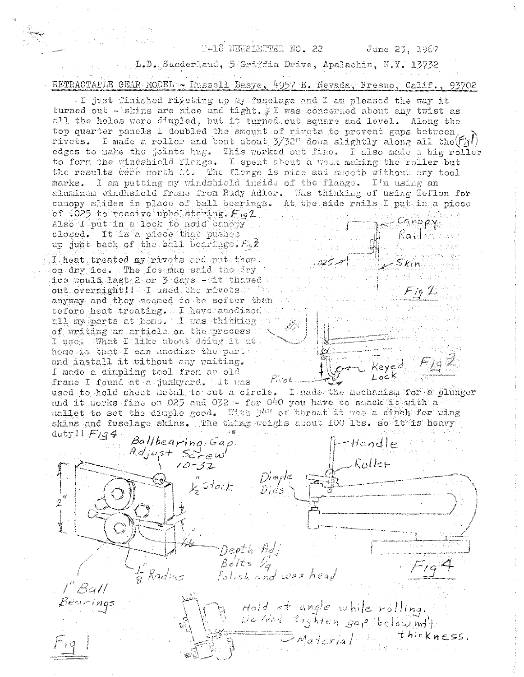## T-18 NEWSLETTER NO. 22

Keyed

 $Lock$ 

L.D. Sunderland, 5 Griffin Drive, Apalachin, N.Y. 13732 RETRACTALLE GEAR MODEL ... Russell Basye, 4957 E. Nevada, Fresno, Calif., 93702

I just finished riveting up my fuselage and I am pleased the way it turned out - skins are nice and tight. I was concerned about any twist as all the holes were dimpled, but it turned out square and level. Along the top quarter panels I doubled the amount of rivets to prevent gaps between, rivets. I made a roller and bent about  $3/32$ <sup>n</sup> down slightly along all the  $(\text{Fig1})$ edges to make the joints hug. This worked out fine. I also made a big roller to form the windshield flange. I spent about a week making the roller but the results were worth it. The flange is nice and smooth without any tool marks. I am putting my vindshicld inside of the flange. I'm using an aluminum windhsield frame from Rudy Adler. Was thinking of using Teflon for canopy slides in place of ball bearings. At the side rails I put in a piece of .025 to receive upholstering.  $F_{19}2$  $conopy$ Also I put in a lock to hold canopy Railwood closed. It is a piece that pushes up just back of the ball bearings.  $F_{\theta}Z$ transformation I heat treated my rivets and put them  $S$ *kin* on dry ice. The foe man said tho dry

ice would last 2 or 3 days Hait thaved out overnight! I used the rivets will anyway and they secmed to be softer than before heat treating. I have anodized all my parts at hone. I vas thinking of writing an article on the process I use: What I like about doing it at hone is that I can anodize the part : and install it without any waiting. I made a dimpling tool from an old franc I found at a junkyard. It was filet

699kg - 대한 일부

used to hold sheet metal to cut a circle. I nade the mechanism for a plunger and it works fine on 025 and 032 - for 040 you have to smack it with a mallet to set the dimple good. With  $5^{h0}$  of throat it was a cinch for wing skins and fuselage skins. The thing weighs about 100 lbs. so it is heavy

duty!  $F_{1}q_{4}$ Ballbearing Gap<br>Adjust Screw<br>10-32  $H$ andle Roller  $D$ imple  $y_2^n$  stock 2 t Depth Adj<br>Bolts 1/4<br>Folish and wax head  $f - \frac{1}{2}$  $\frac{1}{8}$  Radius  $-$ Ball Hold at angle while rolling.<br>Do Not tighten gap below mtl.<br>Material thickn earings thickness.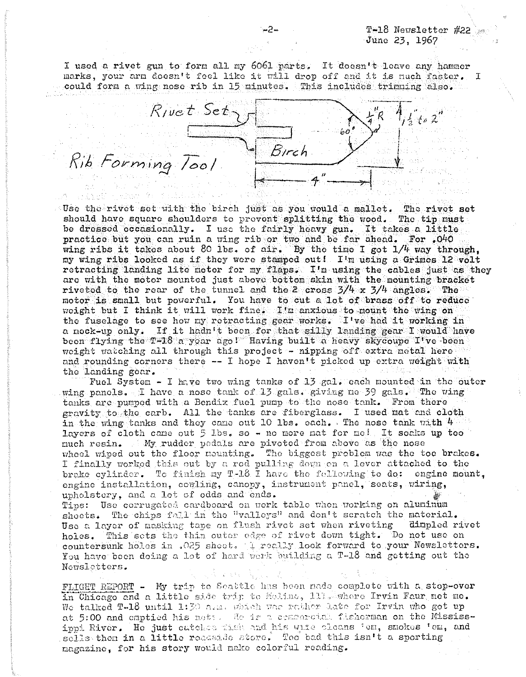### T-18 Newsletter #22 June 23, 1967

I used a rivet gun to form all my 6061 parts. It doesn't leave any hammer narks, your arm doesn't feel like it will drop off and it is much faster. I could form a wing nose rib in 15 minutes. This includes trimning also.



Use the rivet set with the birch just as you would a mallet. The rivet set should have square shoulders to provent splitting the wood. The tip must be dressed occasionally. I use the fairly heavy gun. It takes a little practice but you can ruin a wing rib or two and be far ahead. For  $.040$ wing ribs it takes about 80 lbs. of  $air.$  By the time I got  $1/4$  way through, my wing ribs looked as if they were stamped out! I'm using a Grimes 12 volt retracting landing lite motor for my flaps. I'm using the cables just as they are with the motor mounted just above bottom skin with the mounting bracket riveted to the rear of the tunnel and the 2 cross  $3/4$  x  $3/4$  angles. The motor is small but powerful. You have to cut a lot of brass off to reduce weight but I think it will work fine. I'm anxious to mount the wing on the fuselage to see how my retracting gear works. I've had it working in a mock-up only. If it hadh't been for that silly landing gear I would have beon flying the T-18 a yoar ago! Having built a heavy skycoupe I've been weight watching all through this project - nipping off extra metal here and rounding corners there  $--$  I hope I haven't picked up extra weight with tho landing gear.

Fuel System - I have two wing tanks of 13 gal. each mounted in the outer wing panels. I have a nose tank of 13 gals. giving ne 39 gals. The  $\nu$ ing tanks are punpod with a Bendix fuel pump to the nose tank. From there gravity to the carb. All the tanks are fiberglass. I used mat and cloth in the wing tanks and they came out 10 lbs. each. The nose tank with  $4$ layers of cloth came out  $5$  lbs. so - no more nat for me! It soaks up too much resin. My rudder pedals are pivoted from above as the nose wheel wiped out the floor nounting. The biggest problem was the toe brakes. I finally worked this out by a rod pulling down on a lever attached to the brake cylinder. To finish my T-18 I have the following to do: engine mount, engine installation, comling, canopy, instrument panel, seats, wiring, upholstery, and a lot of odds and ends. Tips: Use corrugated cardboard on work table when working on aluminum shoets. The chips fall in the "valleys" and don't scratch the material. Use a layer of masking tape on flush rivet set when riveting aimpled rivet holes. This sets the thin outer edge of rivet down tight. Do not use on countersunk holes in .025 sheet. I really look forward to your Newsletters. You have been doing a lot of hard work building a T-18 and getting out the Newsletters.

FLIGHT REPORT - My trip to Seattle has been nade complete with a stop-over in Chicago and a little side trip to Moline, 111. mater Irvin Faur met me. We talked T-18 until 1:30 n.a. which was rather late for Irvin who got up at 5:00 and omptied his nets. He is a cempercial fisherman on the Mississippi River. He just catekee time and his wife cleans fem, smokes fem, and sells then in a little roadside store. Too bad this isn't a sporting nagazine, for his story would make colorful reading.

-2-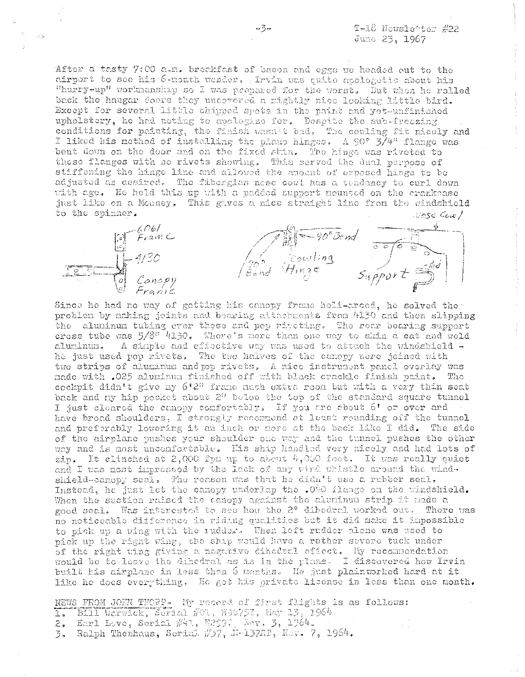After a tasty 7:00 a.m. breakfast of bacon and eggs we headed out to the airport to see his 6-month wender. Irvin was quite apologetic about his "hurry-up" workmanship so I was prepared for the worst. But when he rolled back the haugar doors they uncovered a mightly nice looking little bird. Except for several little chipped spots in the paint and yet-unfinished upholstery, he had noting to apologize for. Despite the sub-freezing conditions for painting, the finish wasn't bad. The couling fit nicely and I liked his nethod of installing the plano hinges. A 90° 3/4" flange was bent down on the door and on the fixed skin. The hinge was riveted to these flanges with no rivets showing. This served the dual purpose of stiffening the hinge line and allowed the anount of exposed hinge to be adjusted as desired. The fiberglas nese cowl has a tendancy to curl down with age. He held this up with a padded support nounted on the crankcase just like on a Mooney. This gives a nice straight line from the windshield to the spinner. Nose Cow/

| $F_{F}$ avit<br>n ©                                | 90° Bend<br>국 용학            |                                                  |
|----------------------------------------------------|-----------------------------|--------------------------------------------------|
|                                                    | Cowl<br>$7.49\,$<br>المستمر | بمدرد<br>led<br><b>CONTRACTOR</b><br>of memorial |
| Concopy<br>$\mathcal{O}$<br>AMP 1<br>ξC.<br>Franse | Bend                        | .<br>Amerikansk sv                               |

Since he had no way of gotting his canopy frame heli-arced, he solved the problen by naking joints and bearing attachments from 4130 and then slipping the aluminum tubing ever these and pep rireting. The rear bearing support cross tube was  $5/8^{n}$  4130. There's nore than one way to skin a cat and weld A simple and effective way was used to attach the windshield aluminum. he just used pop rivets. The two halves of the canopy were joined with two strips of aluminum and pp rivets. A nice instrument panel overlay was nade with .025 aluninum finished off with black crackle finish paint. The cockpit didn't give ny 6'2" franc nuch extra room but with a very thin seat back and my hip pocket about 2<sup>1</sup> below the top of the standard square tunnel I just cleared the canopy confortably. If you are sbout 6' or over and have broad shoulders, I strongly recommend at least reunding off the tunnel and preferably lowering it an inch or nore at the back like I did. The side of the airplane pushes your shoulder one way and the tunnel pushes the other way and is most uncomfortable. His ship handled very nicely and had lots of zip. It clinched at 2,000 fpm up to about  $h$ ,000 feet. It was really quiet and I was nost impressed by the lack of any wird whistle around the windshield-canopy seal, The reason was that he didn't use a rubber seal. Instead, he just lot the canopy underlap the .040 flange on the windshield. When the suction raised the canopy against the aluminum strip it made a good seal. Was interested to see how the 2° dibedral worked out. There was no noticeable difference in riding qualities but it did make it impossible to pick up a wing with the rudder. When left rudder alone was used to pick up the right wing, the ship would have a rather severe tuck under of the right wing giving a negative dihedral effect. My recommendation would be to leave the dihedral as is in the plans. I discovered how Irvin built his airplane in less then 5 nonths. He just plainworked hard at it like he does everything. He got his private license in less than one month.

NEWS FROM JOHN THORP- My record of first flights is as follows: 1. Bill Warwick, Serial #01, N96753, May 13, 1964

2. Earl Love, Serial  $\#41$ , M2007, Nev, 3, 1964.

3. Ralph Thenhaus, Serial #37, N-1372T, Nov. 7, 1964.

-3-

小葱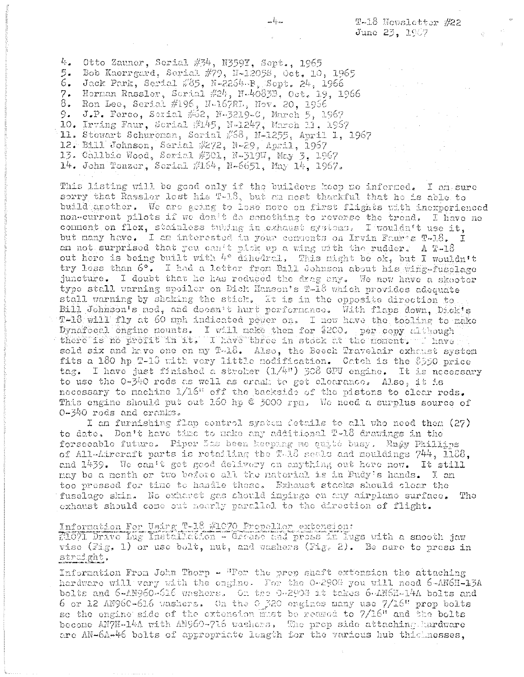T-18 Novaletter #22 June 23, 1967

4. Otto Zauner, Serial #34, N359Y, Sept., 1965 5. Bob Kaerrgard, Serial #79, N-12058, Oct. 10, 1965 6. Jack Park, Serial #85, N-2264-B, Sept. 24, 1966 7. Herman Rassler, Scrial #24, N-40833, Oct. 19, 1966 8. Ron Lee, Serial #196, N-167RL, Nov. 20, 1956 9. J.P. Ferco, Serial #62, N-3219-C, March 5, 1967 10. Irving Faur, Scrial #145, N-1247, March 11, 1957 11. Stewart Schureman, Serial #68, N-1255, April 1, 1967 12. Bill Johnson, Serial #272, N-29. April, 1967 13. Chllbie Wood, Serial #301, N-319W, May 3, 1967 14. John Tonzor, Serial #164, N-6651, May 14, 1967.

This listing will be good only if the builders keep no informed. I am sure sorry that Rassler lest his T-18, but am most thankful that he is able to build another. We are going to lose more on first flights with inexperienced non-current pilots if we don't do senething to reverse the trend. I have no connent on flex, stainless tubing in exhaust systems. I wouldn't use it. but many have. I am interested in your comments on Irvin Faure T-18.  $\tau$ an not surprised that you can't pick up a wing with the rudder. A T-18 out here is being built with 4° dihedral, This might be ok, but I wouldn't try less than 6°. I had a letter from Bill Johnson about his wing-fusclage juncture. I doubt that he has reduced the drag any. We now have a skooter type stall warning spoiler on Dick Hanson's T-18 which provides adequate stall warning by shaking the stick. It is in the epposite direction to Bill Johnson's nod, and doesn't hurt performance. With flaps down, Dick's T-18 will fly at 60 mph indicated power on. I now have the tooling to make Dynafocal engine nounts. I will nake then for \$200. per copy although there is no profit in it. I have three in stock at the nonent, I have sold six and have one on my T-18. Also, the Beech Travelair exhaust system fits a 180 hp T-13 with very little modification. Catch is the \$550 price tag. I have just finished a stroker  $(1/4)$  308 GPU engine. It is necessary to use the  $0\nu - 340$  rods as well as crank to get clearance. Also, it is necessary to nachine 1/16" off the backside of the pistons to clear rods. This engine should put out 160 hp @ 5000 rpn. We need a surplus source of 0-340 rods and cranks.

I am furnishing flap control system details to all who need them (27) to date. Don't have time to make any additional T-18 drawings in the forseeable future. Piper Sas been keeping me cuité busy. Rady Phillips of All-Aircraft parts is retailing the T-18 seals and mouldings 744, 1188, and 1439. We can't get good delivery on anything out here now. It still may be a month or two before all the naterial is in Pudy's hands. I am too pressed for time to handle these. Exhaust stacks should clear the fuselage skin. No exhavet gas should inpinge on any airplano surface. The exhaust should come out nearly parallel to the direction of flight.

# Information For Using T-18 #1070 Propeller extension:

71671 Drive Lug Installation - Grease and pross in lugs with a smooth jaw vise (Fig. 1) or use bolt, nut, and washers (Fig. 2). Be sare to press in straight.

Information From John Thorp - "For the prop shaft extension the attaching hardware will vary with the engine. For the 0-290G you will need 6-AN6H-13A bolts and 6-AN960-616 washers. On the 0-290G it takes 6-AN6H-14A bolts and 6 or 12 AN96C-616 washers. On the 0 320 engines many use 7/16" prop bolts so the engine side of the extension must be reased to 7/16" and the bolts become AN7H-14A with AN960-716 washers. The prop side attaching hardware are AN-6A-46 bolts of appropriate leagth for the various hub this nesses.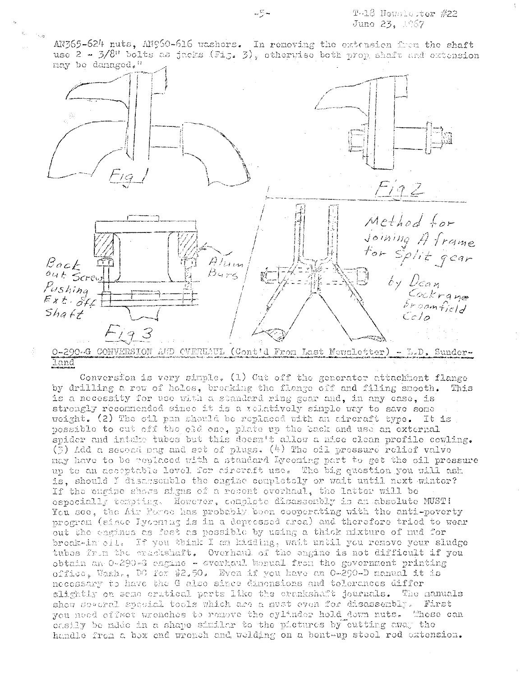AN365-624 nuts, AN960-616 washers. In renoving the extension from the shaft use  $2 - 3/8$ <sup>n</sup> bolts as jacks (Fig. 3), otherwise both prop shaft and extension may be damaged."



#### land

Conversion is very simple. (1) Cut off the generator attachment flange by drilling a row of holes, breaking the flange off and filing snooth. This is a necessity for use with a standard ring gear and, in any case, is strongly reconnended since it is a relatively sinple way to save some weight. (2) The oil pan should be replaced with an aircraft type. It is possible to out off the old one, plate up the back and use an external spider and intake tubes but this doesn't allow a nice clean profile cowling. (3) Add a second mag and set of plugs.  $(4)$  The oil pressure relief valve may have to be replaced with a standard Lycoming part to get the oil pressure up to an acceptable level for aircraft use. The big question you will ask is, should I disassemble the engine completely or wait until next winter? If the engine shows signs of a recent everhaul, the latter will be ospocially tempting. However, complete disassembly is an absolute MUST! You see, the Air Force has probably been cooperating with the anti-poverty program (since Iyoening is in a depressed area) and therefore tried to wear out the engines as fast as possible by using a thick mixture of mud for broak-in oil. If you think I am kidding, wait until you remove your sludge tubes from the crashshaft, Overhaul of the engine is not difficult if you obtain an O-290-G engine - everhaul banual from the government printing office, Wash,, DC for \$2.50. Even if you have an O-290-D manual it is necessary to have the G also since dimensions and tolerances diffor slightly on sema crutical parts like the crankshaft journals. The nanuals show several special tools which are a must even for disassembly. First you need offset wrenches to remove the cylinder hold down nuts. These can oasily be made in a shape similar to the pictures by cutting away the handle from a box end wrench and welding on a bent-up steel rod extension.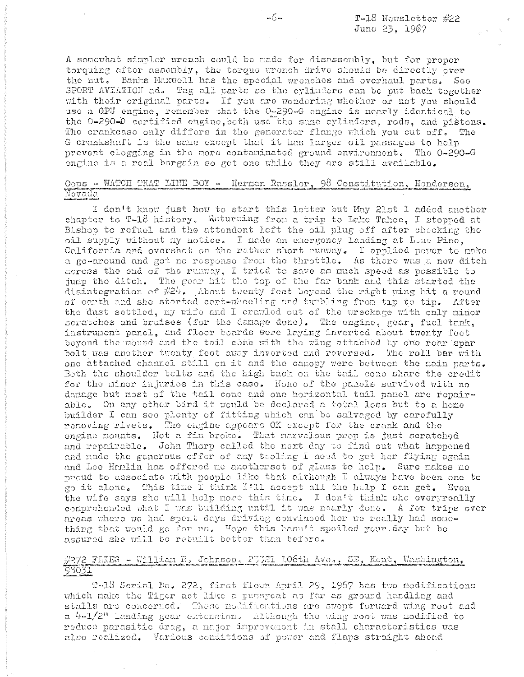$T-18$  Nowsletter #22 June 23, 1967

A sonowhat simpler wrench could be made for disassembly, but for proper torquing after assembly, the torque wrench drive should be directly over the nut. Banks Maxwell has the special wrenches and overhaul parts. See SPORT AVIATION ad. Tag all parts so the cylinders can be put back together with their original parts. If you are wondering whether or not you should use a GPU engine, remember that the 0-290-G engine is nearly identical to the 0-290-D certified engine, both use the same cylinders, rods, and pistons. The crankcase only differs in the generator flange which you cut off. The G crankshaft is the same except that it has larger oil passages to help prevent clogging in the more contaminated ground environment. The 0-290-G engine is a real bargain so get one while they are still available.

# Oops - WATCH THAT LINE BOY - Herman Rassler, 98 Constitution, Henderson, Nevada

I don't know just how to start this letter but May 21st I added another chapter to T-18 history. Returning from a trip to Lake Tahoe, I stopped at Bishop to refuel and the attendent left the oil plug off after checking the oil supply without my notice. I made an emergency landing at Lone Pine, California and overshot on the rather short runway. I applied power to nake a go-around and got no response from the throttle. As there was a new ditch across the end of the runway, I tried to save as much speed as possible to jump the ditch. The gear hit the top of the far bank and this started the disintegration of  $#24$ . About twenty feet beyond the right wing hit a mound of carth and she started cart-whoeling and turbling from tip to tip. After the dust settled, my wife and I crawled out of the wreckage with only minor scratches and bruises (for the danage done). The engine, gear, fuel tank, instrument panel, and floor boards were laying inverted about twenty feet beyond the mound and the tail come with the wing attached by one rear spar bolt was another twenty feet away inverted and reversed. The roll bar with one attached channel still on it and the canopy were between the nain parts. Both the shoulder belts and the high back on the tail cone share the credit for the minor injuries in this case. None of the panels survived with no damage but most of the tail cone and one horizontal tail panel are repairable. On any other bird it would be declared a total loss but to a home builder I can see plenty of fitting which can be salvaged by carefully removing rivets. The engine appears OK except for the crank and the engine mounts. Not a fin broke. That marveleus prop is just scratched and repairable. John Thorp called the next day to find out what happened and nade the generous offer of any tooling I need to get her flying again and Lee Hamlin has offered me anotherset of glass to help. Sure makes me proud to associate with people like that although I always have been one to go it alone. This time I think I'll accept all the help I can get. Even the wife says she will help more this time. I don't think she everyreally comprehended what I was building until it was nearly done. A few trips over areas where we had spent days driving convinced her we really had something that would go for us. Hope this hasn't spoiled your day but be assured she will be rebuilt better than before.

# #272 FLIES - William R. Johnson, 23321 106th Avo., SE, Kent, Washington, 93031

T-18 Serial No. 272, first flown April 29, 1967 has two modifications which make the Tiger act like a pussyoat as far as ground handling and stalls are concerned. These nodifications are swept forward wing root and a 4-1/2" landing gear extension. Although the wing root was nodified to reduce parasitic drag, a major improvement in stall characteristics was also realized. Various conditions of power and flaps straight ahead

 $-6-$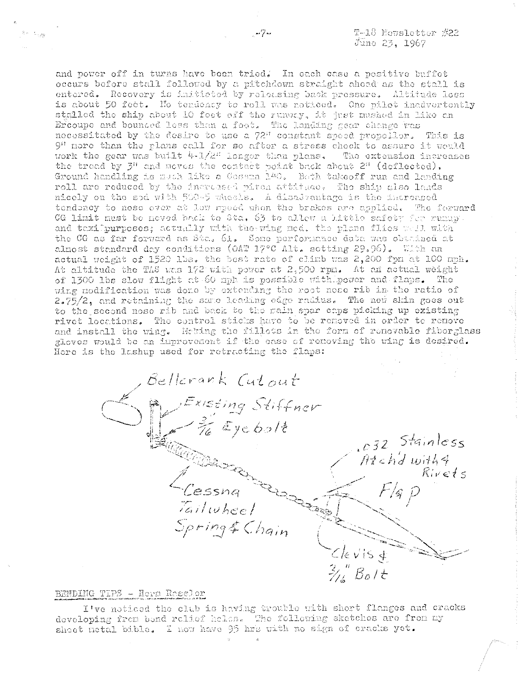and power off in turns have been tried. In each case a positive buffet occurs before stall followed by a pitchdown straight ahead as the stall is entered. Recovery is initiated by releasing back pressure. Altitude loss is about 50 fect. No tendency to roll was noticed. One pilot inadvertently stalled the ship about 10 feet off the runway, it just musked in like an Ercoupe and bounded less than a foot. The Landing gear change was necessitated by the desire to use a 72" constant speed propellor. This is  $9<sup>0</sup>$  nore than the plans call for so after a stress chock to assure it would work the gear was built  $4-1/2^n$  longer than plans. The extension increases the tread by 3" and moves the contact point back about 2" (deflected). Ground handling is much like a Cossma 140. Beth takeoff run and landing roll are reduced by the increased piron attitude. The ship also lands nicely on the sod with 500-5 wheels. A disadrantage is the increased tendency to nose ever at low speed when the brakes are applied. The ferward CG limit must be neved back to Sta. 63 to allew a little safety for runap. and taxilpurposes; actually with the wing ned, the plane flies well with the CG as far forward as Sta. 61. Some performance data was obtained at almost standard day conditions (OAT 17°C Alt. setting 29.96). With an actual weight of 1520 lbs. the best rate of climb was 2,200 fpn at 100 mph. At altitude the TAS was 172 with power at 2,500 rpn. At an actual weight of 1300 lbs slow flight at 60 mph is possible with power and flaps. The wing modification was done by extending the root nose rib in the ratio of 2.75/2, and retaining the same leading cage radius. The new skin goes out to the second nose rib and back to the main spar caps picking up existing rivet locations. The control sticks have to be removed in order to remove and install the wing. Heking the fillets in the form of removable fiberglass gloves would be an improvement if the ease of removing the wing is desired. Here is the lashup used for retracting the flaps:

Bellerank Cutout Existing Stiffner  $\xi$  ye bol $\rlap{-}$ l $\rlap{-}$ l  $.032$  Stainless  $A t$ ch'd with 4  $R$ ivets A<br>Cessna<br>Tailwheel তিয়াই Spring& Chain  $\frac{2}{\sqrt{2}}$   $B_0$ It

#### BENDING TIPS - Hern Ressler

I've noticed the club is having trouble with short flanges and cracks developing from bend relief heles. The following sketches are from my sheet netal bible. I now have 95 hre with no sign of cracks yet.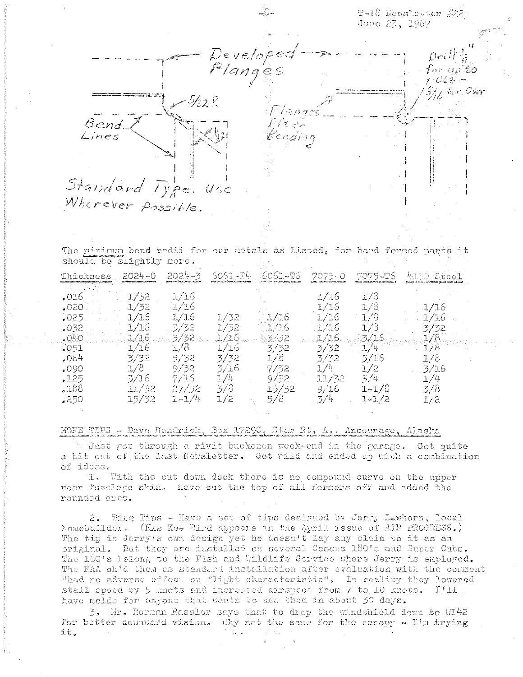T-18 Newsletter #22 Juno 23, 1967 Developea Flanges for as to  $C64$ *Ant Oser* グロド  $15.62$ Bend. Lines vezhion Standard Type  $U$ se Wherever possible.

The minimum bend radii for our netals as listed, for hand formed parts it should be slightly nore. Thickness .2024~0  $.2024 - 3$ 6061.-T4 6061–75  $7075 - 0$ 7075-16 4130 Steel  $1/16$  $.016$  $1/32$  $1/16$  $1/8$  $1/32$  $1/16$  $1/16$  $1/8$  $.020$  $1/16$  $1/16$  $1/16$  $1/16$  $1/16$  $1/8$  $.025$  $1/32$  $1/16$  $1/16$  $3/32$  $1/32$ 1/16  $1/16$  $1/8$  $.032$ 3/32  $1/16$  $1/16$  $.040$  $3/16$ -3/32. 3732 3/16  $.1/8$  $1/16$  $1/8$  $3/32$  $1/h$ 1/8  $1/16$ 3/32  $.051$  $3/32$  $3/32$  $1/8$  $.064$  $5/32$  $1/8$ 3/32  $5/16$  $1/8$ 3/16  $7/32$  $9/32$  $1/4 1/2$  $3/16$  $.090$  $1/4$  $3/16$  $9/32$ 11/32  $1/4$  $.125$ 7/16  $5/4$  $15/32$  $11/32$  $27/32$  $3/8$ 9/16 188ء  $1 - 1/8$ 3/8

## MORE TIPS - Davo Hendrick, Box 1729C, Star Rt. A., Ancourage, Alaska

 $1/2$ 

 $.250$ 

 $15/32$ 

 $1 - 1/4$ 

Tust got through a rivit buckenen week-end in the garage. Got quite a bit out of the last Newsletter. Got wild and ended up with a combination of ideas.

5/8

 $3/4$ 

 $1 - 1/2$ 

 $1/2$ 

1. Uith the cut down deck there is no compound curve on the upper rear fusclage skin. Have cut the top of all formers off and added the rounded ones.

2. Wing Tips - Have a set of tips designed by Jerry Lawhorn, local homebuilder. (Eis Kee Bird appears in the April issue of AIR PROGRESS.) The tip is Jerry's own design yet he doesn't lay any claim to it as an original. But they are installed ou several Cessna 180's and Super Cubs. The 180's belong to the Fish and Wildlife Service where Jerry is employed. The FAA ok'd them as standard installation after evaluation with the comment "had no adverse effect on flight characteristic". In reality they lowered stall speed by 5 knots and increased airspeed from 7 to 10 knots. I'll. have molds for anyone that wents to use them in about 30 days.

3. Mr. Herman Rassler says that to drop the windshield down to WL42 for better downward vision. Why not the same for the canopy - I'm trying it.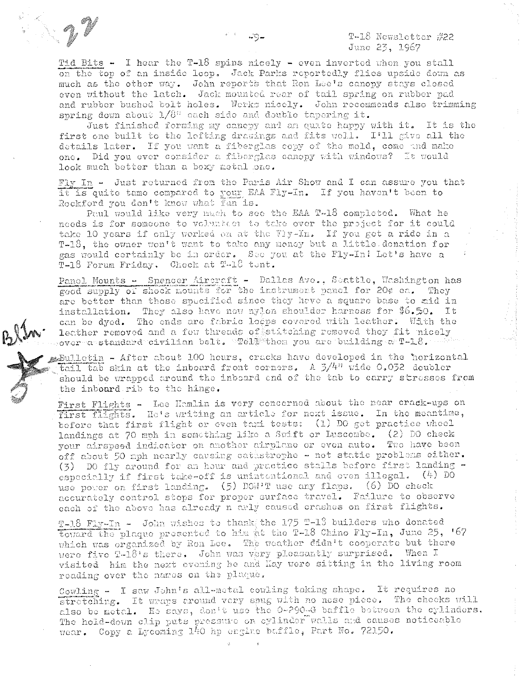Tid Bits - I hear the T-18 spins nicely - even inverted when you stall on the top of an inside loop. Jack Parks reportedly flies upside down as much as the other way. John reports that Ron Lee's canopy stays closed even without the latch. Jack mounted rear of tail spring on rubber pad and rubber bushed bolt holes. Werks nicely. John recommends also trimming spring down about  $1/8$ <sup>11</sup> each side and double tapering it.

Just finished forming my cancey and an quate happy with it. It is the first one built to the lefting drawings and fits well. I'll give all the details later. If you want a fiberglas copy of the mold, come and make one. Did you ever consider a fiberglas canepy with windows? It would look much better than a boxy metal one.

Fly In - Just returned from the Paris Air Show and I can assure you that it is quite tame compared to your EAA Fly-In. If you haven't been to Rockford you don't know what fan is.

Paul would like very much to see the EAA T-18 completed. What he needs is for someone to volunteer to take over the project for it could take 10 years if only worked on at the Fly-In. If you get a ride in a T-18, the owner won't want to take any meney but a little donation for gas would certainly be in order. See you at the Fly-In! Let's have a T-18 Forum Friday. Check at T-18 tent.

Panel Mounts - Spencer Aircreft - Dallas Ave., Seattle, Washington has good supply of shock mounts for the instrument panel for 20¢ ea. They are better than those specified since they have a square base to aid in installation. They also have new nylon shoulder harness for \$6.50. It can be dyed. The ends are fabric loops covered with leather. With the leather removed and a few threads of stitching removed they fit nicely gover a standard civilian belt. Well then you are building a  $T-1.8$ .

Bulletin - After about 100 hours, cracks have developed in the "norizontal tail tab skin at the inboard front corners. A  $3/4$ <sup>n</sup> wide 0.032 doubler should be wrapped around the inboard end of the tab to carry stresses from the inboard rib to the hinge.

First Flights - Lee Hamlin is very concerned about the near crack-ups on first flights. He's writing an article for next issue. In the meantime, before that first flight or even taxi tests: (1) DO get practice wheel landings at 70 mph in something like a Swift or Luscombe. (2) DO check your airspeed indicator on another airplane or even auto. Two have been off about 50 mph nearly causing catastrophe - not static problems either. (3) DO fly around for an hour and practice stalls before first landing especially if first take-off is unintentional and even illegal. (4) DO use power on first landing. (5) DOM'T use any flaps. (6) DO check accurately control stops for proper surface travel. Failure to observe each of the above has already n arly caused crashes on first flights.

T-18 Fly-In - John wishes to thank the 175 T-13 builders who donated toward the plaque presented to him at the T-18 Chino Fly-In, June 25, '67 which was organized by Ron Lee. The weather didn't cooperate but there were five T-18's there. John was very pleasantly surprised. When I visited him the next evening he and Kay were sitting in the living room reading over the names on the plaque.

Cowling - I saw John's all-motal cowling taking shape. It requires no stretching. It wraps around very spug with no nose piece. The checks will also be metal. He says, don't use the 0-290-G baffle between the cylinders. The hold-down clip puts pressure on cylinder walls and causes noticeable wear. Copy a Lycoming 140 hp engine baffle, Part No. 72150.